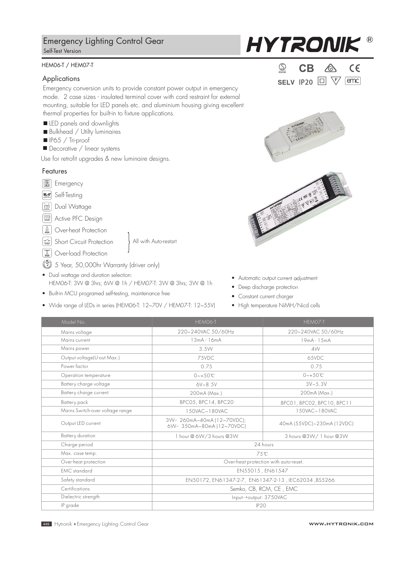# Emergency Lighting Control Gear Self-Test Version

### HEM06-T / HEM07-T

### Applications

Emergency conversion units to provide constant power output in emergency mode. 2 case sizes - insulated terminal cover with cord restraint for external mounting, suitable for LED panels etc. and aluminium housing giving excellent thermal properties for built-in to fixture applications.

#### LED panels and downlights

- Bulkhead / Utilty luminaires
- IP65 / Tri-proof
- Decorative / linear systems

Use for retrofit upgrades & new luminaire designs.

# Features

- **Emergency**
- Self-Testing *Self-testing Emergency Driver*

*M* Dual Wattage

**>0.93** Active PFC Design

**Solution** Over-heat Protection

- Short Circuit Protection
- Over-load Protection
- $\binom{5}{2}$  5 Year, 50,000hr Warranty (driver only)
- Dual wattage and duration selection: HEM06-T: 3W @ 3hrs; 6W @ 1h / HEM07-T: 3W @ 3hrs; 3W @ 1h

All with Auto-restart

- Built-in MCU programed self-testing, maintenance free
- Wide range of LEDs in series (HEM06-T: 12~70V / HEM07-T: 12~55V)

**HYTRONIK** 

| Intertek  | к |                  |       |
|-----------|---|------------------|-------|
| SELV IP20 |   | $\Box$<br>\F7 [t | emc l |





- Automatic output current adjustment
- Deep discharge protection
- Constant current charger
- High temperature NiMH/Nicd cells

| Model No.                       | HEM06-T                                                | HEM07-T                               |  |  |  |
|---------------------------------|--------------------------------------------------------|---------------------------------------|--|--|--|
| Mains voltage                   | 220~240VAC 50/60Hz                                     | 220~240VAC 50/60Hz                    |  |  |  |
| Mains current                   | $13mA - 16mA$                                          | $19mA - 15mA$                         |  |  |  |
| Mains power                     | 3.5W                                                   | 4W                                    |  |  |  |
| Output voltage(U-out Max.)      | 75VDC                                                  | 65VDC                                 |  |  |  |
| Power factor                    | 0.75                                                   | 0.75                                  |  |  |  |
| Operation temperature           | $0 - +50$ °C                                           | $0 - +50^{\circ}C$                    |  |  |  |
| Battery charge voltage          | $6V - 8.5V$                                            | $3V - 5.3V$                           |  |  |  |
| Battery charge current          | 200mA (Max.)                                           | 200mA (Max.)                          |  |  |  |
| Battery pack                    | BPC05, BPC14, BPC20                                    | BPCO1, BPCO2, BPC10, BPC11            |  |  |  |
| Mains Switch-over voltage range | 150VAC~180VAC                                          | 150VAC~180VAC                         |  |  |  |
| Output LED current              | 3W-260mA~40mA (12~70VDC);<br>6W- 350mA~80mA (12~70VDC) | 40mA (55VDC)~230mA (12VDC)            |  |  |  |
| Battery duration                | 1 hour @ 6W/3 hours @3W                                | 3 hours @3W/ 1 hour @3W               |  |  |  |
| Charge period                   |                                                        | 24 hours                              |  |  |  |
| Max. case temp.                 |                                                        | 75°C                                  |  |  |  |
| Over-heat protection            |                                                        | Over-heat protection with auto-reset. |  |  |  |
| <b>FMC</b> standard             |                                                        | EN55015, EN61547                      |  |  |  |
| Safety standard                 | EN50172, EN61347-2-7, EN61347-2-13, IEC62034, BS5266   |                                       |  |  |  |
| Certifications                  |                                                        | Semko, CB, RCM, CE, EMC               |  |  |  |
| Dielectric strength             | Input->output: 3750VAC                                 |                                       |  |  |  |
| IP grade                        | IP <sub>20</sub>                                       |                                       |  |  |  |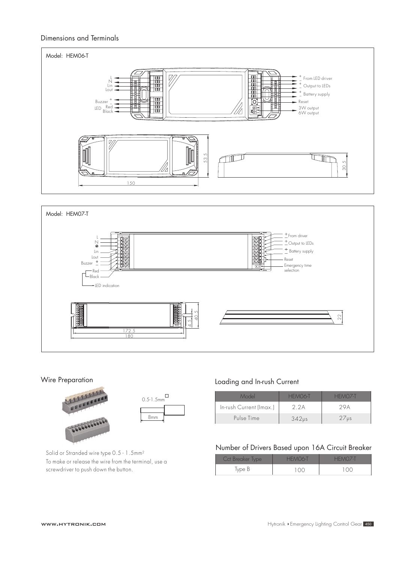# Dimensions and Terminals





#### Wire Preparation



# Loading and In-rush Current

| Model                   | HEMO6-T    | HEMOZ-T          |
|-------------------------|------------|------------------|
| In-rush Current (Imax.) | 2 2 A      | ) V A            |
| Pulse Time              | $342\nu s$ | 27 <sub>vs</sub> |

Solid or Stranded wire type 0.5 - 1.5mm2 To make or release the wire from the terminal, use a screwdriver to push down the button.

# Number of Drivers Based upon 16A Circuit Breaker

| Cct Breaker Type | HEMO6-T          | HEMOZ-T                                             |
|------------------|------------------|-----------------------------------------------------|
| Type B           | $\langle$ ( )( ) | $\left( \begin{array}{c} \cdot \end{array} \right)$ |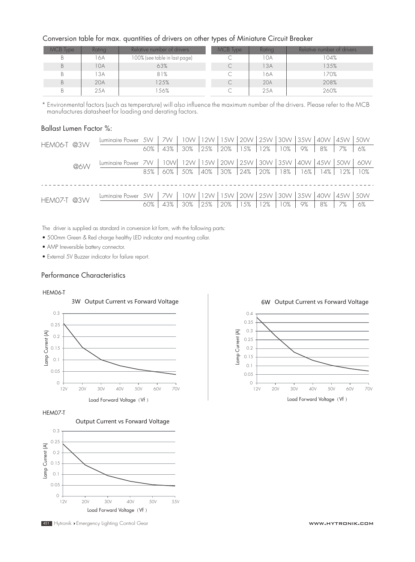#### Conversion table for max. quantities of drivers on other types of Miniature Circuit Breaker

| MCB Type | Rating | Relative number of drivers    | MCB Type | Rating | Relative number of drivers |
|----------|--------|-------------------------------|----------|--------|----------------------------|
| B        | 16A    | 100% (see table in last page) |          | 10A    | 104%                       |
| B        | 10A    | 63%                           |          | 13A    | 135%                       |
| В        | 13A    | 81%                           |          | 16A    | 170%                       |
| B        | 20A    | 25%                           |          | 20A    | 208%                       |
| В        | 25A    | 56%                           |          | 25A    | 260%                       |

\* Environmental factors (such as temperature) will also influence the maximum number of the drivers. Please refer to the MCB manufactures datasheet for loading and derating factors.

#### Ballast Lumen Factor %:

|                    | Luminaire Power 5W                                                                   |      | 7W  |                                                                |     |               |           |     |    |       | 10W   12W   15W   20W   25W   30W   35W   40W   45W   50W |       |
|--------------------|--------------------------------------------------------------------------------------|------|-----|----------------------------------------------------------------|-----|---------------|-----------|-----|----|-------|-----------------------------------------------------------|-------|
| HEMO6-T @3W<br>@6W |                                                                                      | 60%  | 43% | 30%                                                            | 25% | $ 20\% 15\% $ | 12%   10% |     | 9% | 8% 7% |                                                           | 6%    |
|                    | Luminaire Power 7W   10W   12W   15W   20W   25W   30W   35W   40W   45W   50W   60W |      |     |                                                                |     |               |           |     |    |       |                                                           |       |
|                    |                                                                                      | 8.5% |     | 60%   50%  40%  30%  24%  20%   18%   16%   14%   12%          |     |               |           |     |    |       |                                                           | - 10% |
|                    |                                                                                      |      |     |                                                                |     |               |           |     |    |       |                                                           |       |
| HEMO7-T @3W        | Luminaire Power 5W                                                                   |      |     | 7W   10W   12W   15W   20W   25W   30W   35W   40W   45W   50W |     |               |           |     |    |       |                                                           |       |
|                    |                                                                                      | 60%  | 43% | 30%                                                            | 25% | 20%   15%     | 12%       | 10% | 9% | 8%    | 7%                                                        | 6%    |

The driver is supplied as standard in conversion kit form, with the following parts:

• 500mm Green & Red charge healthy LED indicator and mounting collar.

• AMP Irreversible battery connector.

• External 5V Buzzer indicator for failure report.

#### Performance Characteristics

#### HEM06-T



HEM07-T



451 Hytronik ▶Emergency Lighting Control Gear www.нут**ролив с составляется можными можн**ическими можность можно м

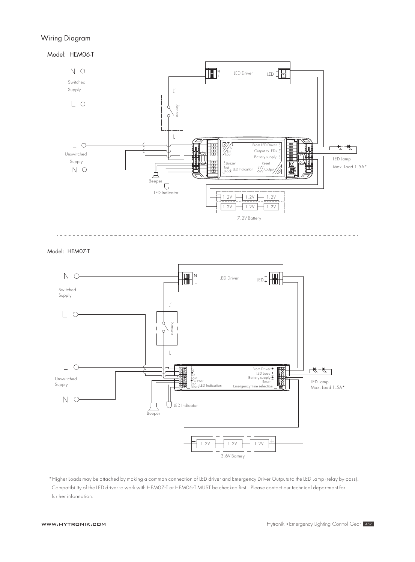# Wiring Diagram

Model: HEM06-T



Model: HEM07-T



\*Higher Loads may be attached by making a common connection of LED driver and Emergency Driver Outputs to the LED Lamp (relay by-pass). Compatibility of the LED driver to work with HEM07-T or HEM06-T MUST be checked first. Please contact our technical department for further information.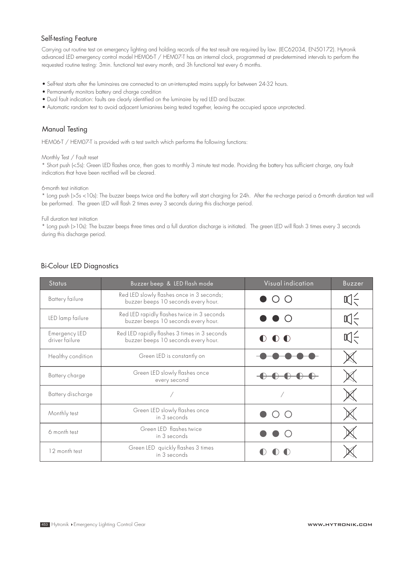# Self-testing Feature

Carrying out routine test on emergency lighting and holding records of the test result are required by law. (IEC62034, EN50172). Hytronik advanced LED emergency control model HEM06-T / HEM07-T has an internal clock, programmed at pre-determined intervals to perform the requested routine testing: 3min. functional test every month, and 3h functional test every 6 months.

- Self-test starts after the luminaires are connected to an un-interrupted mains supply for between 24-32 hours.
- Permanently monitors battery and charge condition
- Dual fault indication: faults are clearly identified on the luminaire by red LED and buzzer.
- Automatic random test to avoid adjacent lumianires being tested together, leaving the occupied space unprotected.

# Manual Testing

HEM06-T / HEM07-T is provided with a test switch which performs the following functions:

#### Monthly Test / Fault reset

\* Short push (<5s): Green LED flashes once, then goes to monthly 3 minute test mode. Providing the battery has sufficient charge, any fault indicatiors that have been rectified will be cleared.

6-month test initiation

\* Long push (>5s <10s): The buzzer beeps twice and the battery will start charging for 24h. After the re-charge period a 6-month duration test will be performed. The green LED will flash 2 times evrey 3 seconds during this discharge period.

#### Full duration test initiation

\* Long push (>10s): The buzzer beeps three times and a full duration discharge is initiated. The green LED will flash 3 times every 3 seconds during this discharge period.

| <b>Status</b>                   | Buzzer beep & LED flash mode                                                        | Visual indication      | Buzzer |
|---------------------------------|-------------------------------------------------------------------------------------|------------------------|--------|
| Battery failure                 | Red LED slowly flashes once in 3 seconds;<br>buzzer beeps 10 seconds every hour.    | $\blacksquare$ ( ) ( ) | 叹气     |
| LED lamp failure                | Red LED rapidly flashes twice in 3 seconds<br>buzzer beeps 10 seconds every hour.   | $\bullet$ $\circ$      | 叹      |
| Emergency LED<br>driver failure | Red LED rapidly flashes 3 times in 3 seconds<br>buzzer beeps 10 seconds every hour. | $\bullet$ $\bullet$    | 叫      |
| Healthy condition               | Green LED is constantly on                                                          |                        |        |
| Battery charge                  | Green LED slowly flashes once<br>every second                                       |                        |        |
| Battery discharge               |                                                                                     |                        |        |
| Monthly test                    | Green LED slowly flashes once<br>in 3 seconds                                       |                        |        |
| 6 month test                    | Green LED flashes twice<br>in 3 seconds                                             |                        |        |
| 12 month test                   | Green LED quickly flashes 3 times<br>in 3 seconds                                   |                        |        |

# Bi-Colour LED Diagnostics